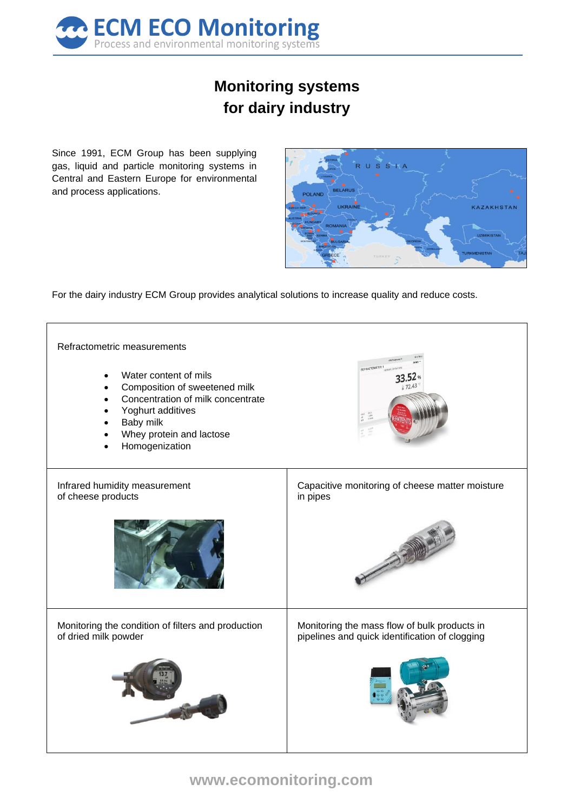

## **Monitoring systems for dairy industry**

Since 1991, ECM Group has been supplying gas, liquid and particle monitoring systems in Central and Eastern Europe for environmental and process applications.



For the dairy industry ECM Group provides analytical solutions to increase quality and reduce costs.